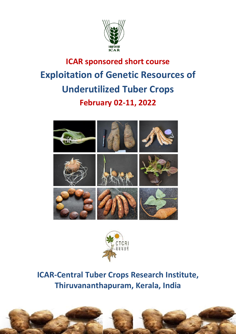

# **ICAR sponsored short course Exploitation of Genetic Resources of Underutilized Tuber Crops February 02-11, 2022**





**ICAR-Central Tuber Crops Research Institute, Thiruvananthapuram, Kerala, India**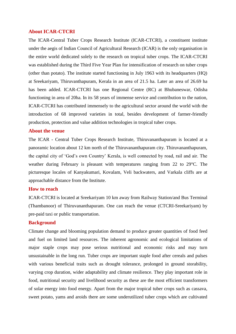#### **About ICAR-CTCRI**

The ICAR-Central Tuber Crops Research Institute (ICAR-CTCRI), a constituent institute under the aegis of Indian Council of Agricultural Research (ICAR) is the only organisation in the entire world dedicated solely to the research on tropical tuber crops. The ICAR-CTCRI was established during the Third Five Year Plan for intensification of research on tuber crops (other than potato). The institute started functioning in July 1963 with its headquarters (HQ) at Sreekariyam, Thiruvanthapuram, Kerala in an area of 21.5 ha. Later an area of 26.69 ha has been added. ICAR-CTCRI has one Regional Centre (RC) at Bhubaneswar, Odisha functioning in area of 20ha. In its 58 years of immense service and contribution to the nation, ICAR-CTCRI has contributed immensely to the agricultural sector around the world with the introduction of 68 improved varieties in total, besides development of farmer-friendly production, protection and value addition technologies in tropical tuber crops.

#### **About the venue**

The ICAR - Central Tuber Crops Research Institute, Thiruvananthapuram is located at a panoramic location about 12 km north of the Thiruvananthapuram city. Thiruvananthapuram, the capital city of 'God's own Country' Kerala, is well connected by road, rail and air. The weather during February is pleasant with temperatures ranging from 22 to 29°C. The picturesque locales of Kanyakumari, Kovalam, Veli backwaters, and Varkala cliffs are at approachable distance from the Institute.

# **How to reach**

ICAR-CTCRI is located at Sreekariyam 10 km away from Railway Station/and Bus Terminal (Thambanoor) of Thiruvananthapuram. One can reach the venue (CTCRI-Sreekariyam) by pre-paid taxi or public transportation.

#### **Background**

Climate change and blooming population demand to produce greater quantities of food feed and fuel on limited land resources. The inherent agronomic and ecological limitations of major staple crops may pose serious nutritional and economic risks and may turn unsustainable in the long run. Tuber crops are important staple food after cereals and pulses with various beneficial traits such as drought tolerance, prolonged in ground storability, varying crop duration, wider adaptability and climate resilience. They play important role in food, nutritional security and livelihood security as these are the most efficient transformers of solar energy into food energy. Apart from the major tropical tuber crops such as cassava, sweet potato, yams and aroids there are some underutilized tuber crops which are cultivated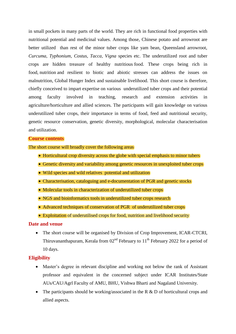in small pockets in many parts of the world. They are rich in functional food properties with nutritional potential and medicinal values. Among those, Chinese potato and arrowroot are better utilized than rest of the minor tuber crops like yam bean, Queensland arrowroot, *Curcuma, Typhonium*, *Costus, Tacca, Vigna* species etc. The underutilized root and tuber crops are hidden treasure of healthy nutritious food. These crops being rich in food, nutrition and resilient to biotic and abiotic stresses can address the issues on malnutrition, Global Hunger Index and sustainable livelihood. This short course is therefore, chiefly conceived to impart expertise on various underutilized tuber crops and their potential among faculty involved in teaching, research and extension activities in agriculture/horticulture and allied sciences. The participants will gain knowledge on various underutilized tuber crops, their importance in terms of food, feed and nutritional security, genetic resource conservation, genetic diversity, morphological, molecular characterisation and utilization.

#### **Course contents**

The short course will broadly cover the following areas

- Horticultural crop diversity across the globe with special emphasis to minor tubers
- Genetic diversity and variability among genetic resources in unexploited tuber crops
- Wild species and wild relatives potential and utilization
- Characterisation, cataloguing and e-documentation of PGR and genetic stocks
- Molecular tools in characterization of underutilized tuber crops
- NGS and bioinformatics tools in underutilized tuber crops research
- Advanced techniques of conservation of PGR of underutilized tuber crops
- Exploitation of underutilised crops for food, nutrition and livelihood security

# **Date and venue**

 The short course will be organised by Division of Crop Improvement, ICAR-CTCRI, Thiruvananthapuram, Kerala from  $02<sup>nd</sup>$  February to  $11<sup>th</sup>$  February 2022 for a period of 10 days.

#### **Eligibility**

- Master's degree in relevant discipline and working not below the rank of Assistant professor and equivalent in the concerned subject under ICAR Institutes/State AUs/CAU/Agrl Faculty of AMU, BHU, Vishwa Bharti and Nagaland University.
- The participants should be working/associated in the R  $\&$  D of horticultural crops and allied aspects.